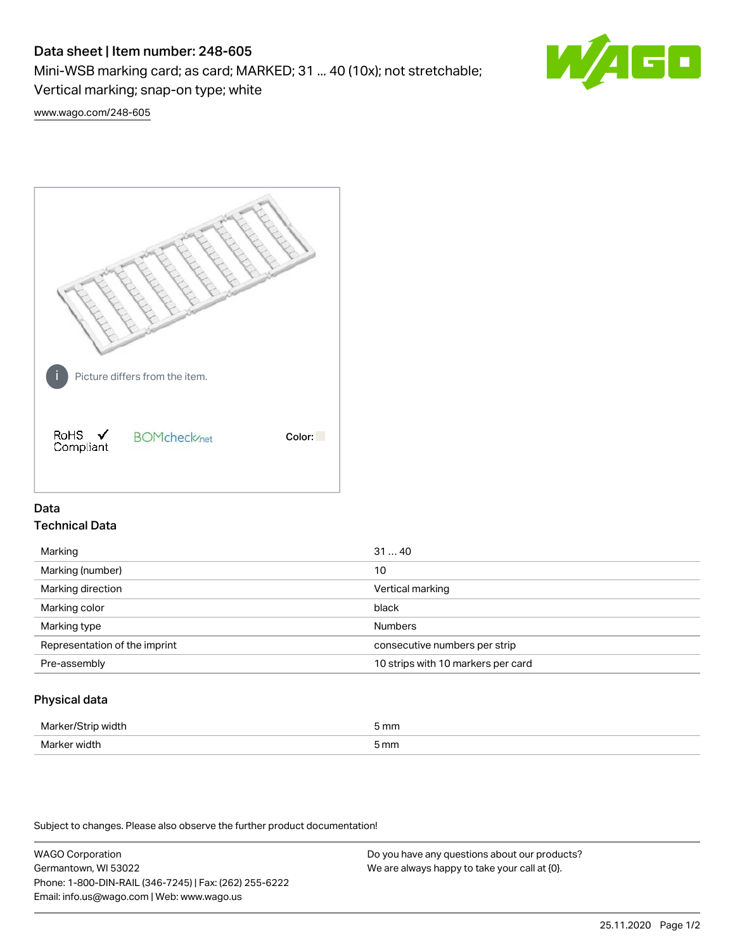# Data sheet | Item number: 248-605

Mini-WSB marking card; as card; MARKED; 31 ... 40 (10x); not stretchable;

Vertical marking; snap-on type; white

[www.wago.com/248-605](http://www.wago.com/248-605)



## Data Technical Data

| Marking                       | 3140                               |
|-------------------------------|------------------------------------|
| Marking (number)              | 10                                 |
| Marking direction             | Vertical marking                   |
| Marking color                 | black                              |
| Marking type                  | <b>Numbers</b>                     |
| Representation of the imprint | consecutive numbers per strip      |
| Pre-assembly                  | 10 strips with 10 markers per card |
|                               |                                    |

## Physical data

| Markar/S.<br>ЛU<br>$\sim$ $\sim$ $\sim$ $\sim$ | 5 mm |
|------------------------------------------------|------|
| Marker width                                   | 5 mm |

Subject to changes. Please also observe the further product documentation!

WAGO Corporation Germantown, WI 53022 Phone: 1-800-DIN-RAIL (346-7245) | Fax: (262) 255-6222 Email: info.us@wago.com | Web: www.wago.us

Do you have any questions about our products? We are always happy to take your call at {0}.